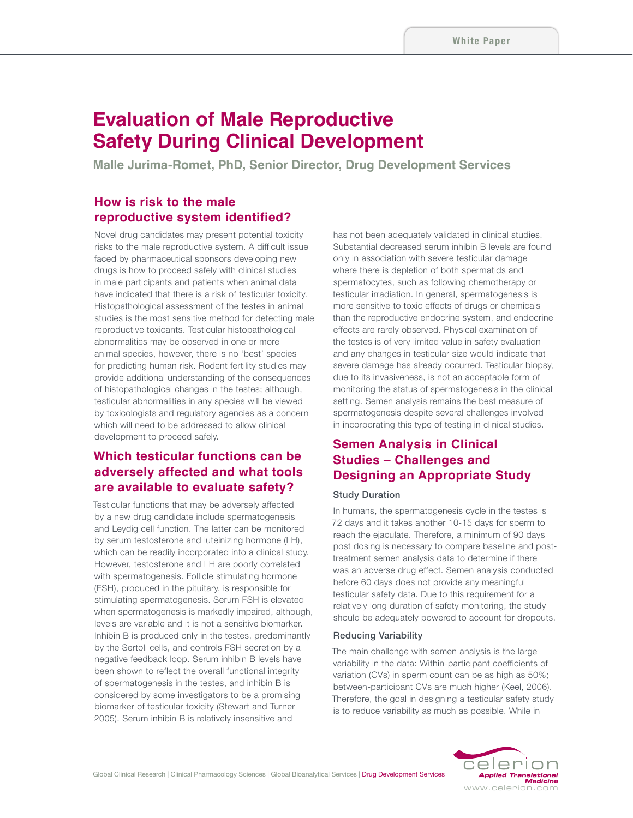# **Evaluation of Male Reproductive Safety During Clinical Development**

**Malle Jurima-Romet, PhD, Senior Director, Drug Development Services**

### **How is risk to the male reproductive system identified?**

Novel drug candidates may present potential toxicity risks to the male reproductive system. A difficult issue faced by pharmaceutical sponsors developing new drugs is how to proceed safely with clinical studies in male participants and patients when animal data have indicated that there is a risk of testicular toxicity. Histopathological assessment of the testes in animal studies is the most sensitive method for detecting male reproductive toxicants. Testicular histopathological abnormalities may be observed in one or more animal species, however, there is no 'best' species for predicting human risk. Rodent fertility studies may provide additional understanding of the consequences of histopathological changes in the testes; although, testicular abnormalities in any species will be viewed by toxicologists and regulatory agencies as a concern which will need to be addressed to allow clinical development to proceed safely.

## **Which testicular functions can be adversely affected and what tools are available to evaluate safety?**

Testicular functions that may be adversely affected by a new drug candidate include spermatogenesis and Leydig cell function. The latter can be monitored by serum testosterone and luteinizing hormone (LH), which can be readily incorporated into a clinical study. However, testosterone and LH are poorly correlated with spermatogenesis. Follicle stimulating hormone (FSH), produced in the pituitary, is responsible for stimulating spermatogenesis. Serum FSH is elevated when spermatogenesis is markedly impaired, although, levels are variable and it is not a sensitive biomarker. Inhibin B is produced only in the testes, predominantly by the Sertoli cells, and controls FSH secretion by a negative feedback loop. Serum inhibin B levels have been shown to reflect the overall functional integrity of spermatogenesis in the testes, and inhibin B is considered by some investigators to be a promising biomarker of testicular toxicity (Stewart and Turner 2005). Serum inhibin B is relatively insensitive and

has not been adequately validated in clinical studies. Substantial decreased serum inhibin B levels are found only in association with severe testicular damage where there is depletion of both spermatids and spermatocytes, such as following chemotherapy or testicular irradiation. In general, spermatogenesis is more sensitive to toxic effects of drugs or chemicals than the reproductive endocrine system, and endocrine effects are rarely observed. Physical examination of the testes is of very limited value in safety evaluation and any changes in testicular size would indicate that severe damage has already occurred. Testicular biopsy, due to its invasiveness, is not an acceptable form of monitoring the status of spermatogenesis in the clinical setting. Semen analysis remains the best measure of spermatogenesis despite several challenges involved in incorporating this type of testing in clinical studies.

# **Semen Analysis in Clinical Studies – Challenges and Designing an Appropriate Study**

#### Study Duration

In humans, the spermatogenesis cycle in the testes is 72 days and it takes another 10-15 days for sperm to reach the ejaculate. Therefore, a minimum of 90 days post dosing is necessary to compare baseline and posttreatment semen analysis data to determine if there was an adverse drug effect. Semen analysis conducted before 60 days does not provide any meaningful testicular safety data. Due to this requirement for a relatively long duration of safety monitoring, the study should be adequately powered to account for dropouts.

#### Reducing Variability

The main challenge with semen analysis is the large variability in the data: Within-participant coefficients of variation (CVs) in sperm count can be as high as 50%; between-participant CVs are much higher (Keel, 2006). Therefore, the goal in designing a testicular safety study is to reduce variability as much as possible. While in

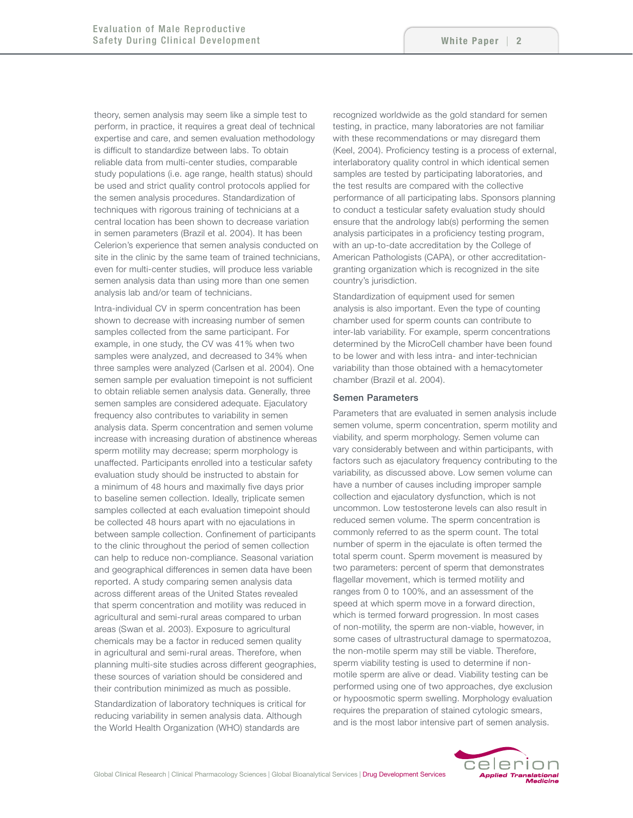theory, semen analysis may seem like a simple test to perform, in practice, it requires a great deal of technical expertise and care, and semen evaluation methodology is difficult to standardize between labs. To obtain reliable data from multi-center studies, comparable study populations (i.e. age range, health status) should be used and strict quality control protocols applied for the semen analysis procedures. Standardization of techniques with rigorous training of technicians at a central location has been shown to decrease variation in semen parameters (Brazil et al. 2004). It has been Celerion's experience that semen analysis conducted on site in the clinic by the same team of trained technicians, even for multi-center studies, will produce less variable semen analysis data than using more than one semen analysis lab and/or team of technicians.

Intra-individual CV in sperm concentration has been shown to decrease with increasing number of semen samples collected from the same participant. For example, in one study, the CV was 41% when two samples were analyzed, and decreased to 34% when three samples were analyzed (Carlsen et al. 2004). One semen sample per evaluation timepoint is not sufficient to obtain reliable semen analysis data. Generally, three semen samples are considered adequate. Ejaculatory frequency also contributes to variability in semen analysis data. Sperm concentration and semen volume increase with increasing duration of abstinence whereas sperm motility may decrease; sperm morphology is unaffected. Participants enrolled into a testicular safety evaluation study should be instructed to abstain for a minimum of 48 hours and maximally five days prior to baseline semen collection. Ideally, triplicate semen samples collected at each evaluation timepoint should be collected 48 hours apart with no ejaculations in between sample collection. Confinement of participants to the clinic throughout the period of semen collection can help to reduce non-compliance. Seasonal variation and geographical differences in semen data have been reported. A study comparing semen analysis data across different areas of the United States revealed that sperm concentration and motility was reduced in agricultural and semi-rural areas compared to urban areas (Swan et al. 2003). Exposure to agricultural chemicals may be a factor in reduced semen quality in agricultural and semi-rural areas. Therefore, when planning multi-site studies across different geographies, these sources of variation should be considered and their contribution minimized as much as possible.

Standardization of laboratory techniques is critical for reducing variability in semen analysis data. Although the World Health Organization (WHO) standards are

recognized worldwide as the gold standard for semen testing, in practice, many laboratories are not familiar with these recommendations or may disregard them (Keel, 2004). Proficiency testing is a process of external, interlaboratory quality control in which identical semen samples are tested by participating laboratories, and the test results are compared with the collective performance of all participating labs. Sponsors planning to conduct a testicular safety evaluation study should ensure that the andrology lab(s) performing the semen analysis participates in a proficiency testing program, with an up-to-date accreditation by the College of American Pathologists (CAPA), or other accreditationgranting organization which is recognized in the site country's jurisdiction.

Standardization of equipment used for semen analysis is also important. Even the type of counting chamber used for sperm counts can contribute to inter-lab variability. For example, sperm concentrations determined by the MicroCell chamber have been found to be lower and with less intra- and inter-technician variability than those obtained with a hemacytometer chamber (Brazil et al. 2004).

#### Semen Parameters

Parameters that are evaluated in semen analysis include semen volume, sperm concentration, sperm motility and viability, and sperm morphology. Semen volume can vary considerably between and within participants, with factors such as ejaculatory frequency contributing to the variability, as discussed above. Low semen volume can have a number of causes including improper sample collection and ejaculatory dysfunction, which is not uncommon. Low testosterone levels can also result in reduced semen volume. The sperm concentration is commonly referred to as the sperm count. The total number of sperm in the ejaculate is often termed the total sperm count. Sperm movement is measured by two parameters: percent of sperm that demonstrates flagellar movement, which is termed motility and ranges from 0 to 100%, and an assessment of the speed at which sperm move in a forward direction, which is termed forward progression. In most cases of non-motility, the sperm are non-viable, however, in some cases of ultrastructural damage to spermatozoa, the non-motile sperm may still be viable. Therefore, sperm viability testing is used to determine if nonmotile sperm are alive or dead. Viability testing can be performed using one of two approaches, dye exclusion or hypoosmotic sperm swelling. Morphology evaluation requires the preparation of stained cytologic smears, and is the most labor intensive part of semen analysis.

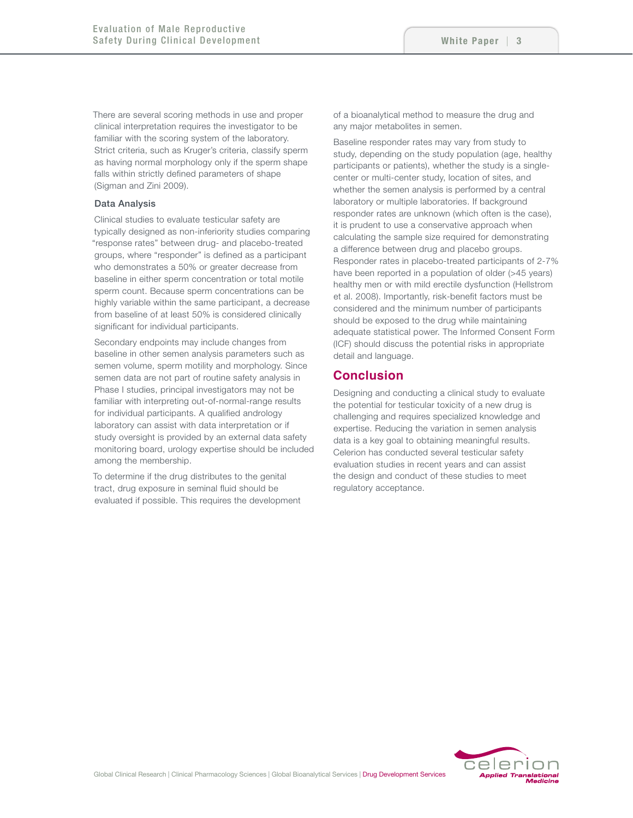There are several scoring methods in use and proper clinical interpretation requires the investigator to be familiar with the scoring system of the laboratory. Strict criteria, such as Kruger's criteria, classify sperm as having normal morphology only if the sperm shape falls within strictly defined parameters of shape (Sigman and Zini 2009).

#### Data Analysis

Clinical studies to evaluate testicular safety are typically designed as non-inferiority studies comparing "response rates" between drug- and placebo-treated groups, where "responder" is defined as a participant who demonstrates a 50% or greater decrease from baseline in either sperm concentration or total motile sperm count. Because sperm concentrations can be highly variable within the same participant, a decrease from baseline of at least 50% is considered clinically significant for individual participants.

Secondary endpoints may include changes from baseline in other semen analysis parameters such as semen volume, sperm motility and morphology. Since semen data are not part of routine safety analysis in Phase I studies, principal investigators may not be familiar with interpreting out-of-normal-range results for individual participants. A qualified andrology laboratory can assist with data interpretation or if study oversight is provided by an external data safety monitoring board, urology expertise should be included among the membership.

To determine if the drug distributes to the genital tract, drug exposure in seminal fluid should be evaluated if possible. This requires the development of a bioanalytical method to measure the drug and any major metabolites in semen.

Baseline responder rates may vary from study to study, depending on the study population (age, healthy participants or patients), whether the study is a singlecenter or multi-center study, location of sites, and whether the semen analysis is performed by a central laboratory or multiple laboratories. If background responder rates are unknown (which often is the case), it is prudent to use a conservative approach when calculating the sample size required for demonstrating a difference between drug and placebo groups. Responder rates in placebo-treated participants of 2-7% have been reported in a population of older (>45 years) healthy men or with mild erectile dysfunction (Hellstrom et al. 2008). Importantly, risk-benefit factors must be considered and the minimum number of participants should be exposed to the drug while maintaining adequate statistical power. The Informed Consent Form (ICF) should discuss the potential risks in appropriate detail and language.

### **Conclusion**

Designing and conducting a clinical study to evaluate the potential for testicular toxicity of a new drug is challenging and requires specialized knowledge and expertise. Reducing the variation in semen analysis data is a key goal to obtaining meaningful results. Celerion has conducted several testicular safety evaluation studies in recent years and can assist the design and conduct of these studies to meet regulatory acceptance.